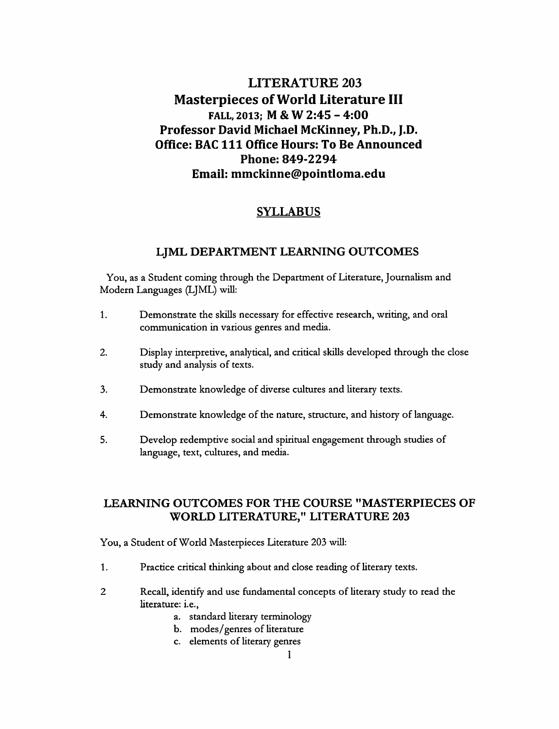# *LITERATURE 203 Masterpieces ofWorld Literature III FALL, 2013; M & W 2:45 - 4:00 Professor David Michael McKinney, Ph.D., J.D. Office: BAC 111 Office Hours: To Be Announced Phone: 849-2294 Email: mmckinne@pointloma.edu*

# *SYLLABUS*

## *LJML DEPARTMENT LEARNING OUTCOMES*

You, as a Student coming through the Department of Literature, Journalism and Modern Languages (LJML) will:

- 1. Demonstrate the skills necessary for effective research, writing, and oral communication in various genres and media.
- 2. Display interpretive, analytical, and critical skills developed through the close study and analysis of texts.
- 3. Demonstrate knowledge of diverse cultures and literary texts.
- 4. Demonstrate knowledge of the nature, structure, and history of language.
- 5. Develop redemptive social and spiritual engagement through studies of language, text, cultures, and media.

# *LEARNING OUTCOMES FOR THE COURSE "MASTERPIECES OF WORLD LITERATURE," LITERATURE 203*

You, a Student of World Masterpieces Literature 203 will:

- 1. Practice critical thinking about and close reading of literary texts.
- 2 Recall, identify and use fundamental concepts of literary study to read the literature: i.e.,
	- a. standard literary terminology
	- b. modes/genres of literature
	- c. elements of literary genres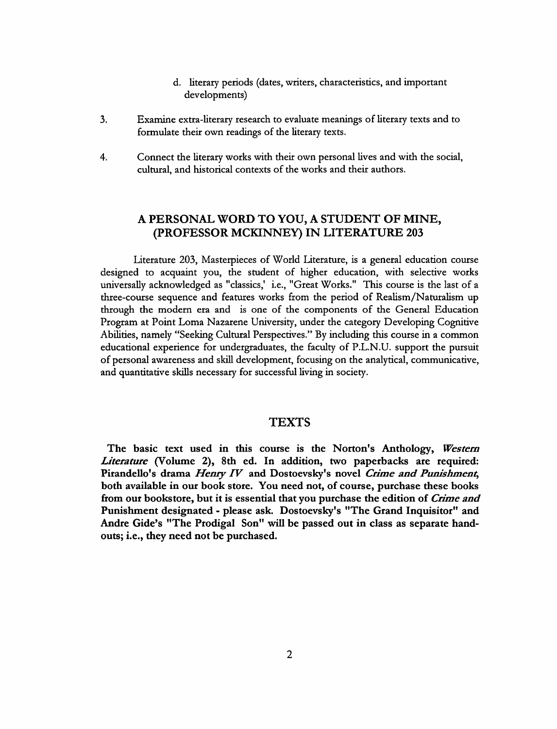- d. literary periods (dates, writers, characteristics, and important developments)
- Examine extra-literary research to evaluate meanings of literary texts and to  $3<sub>1</sub>$ formulate their own readings of the literary texts.
- $4.$ Connect the literary works with their own personal lives and with the social, cultural, and historical contexts of the works and their authors.

# *A PERSONAL WORD TO YOU, A STUDENT OF MINE, (PROFESSOR MCKINNEY) IN LITERATURE 203*

Literature 203, Masterpieces of World Literature, is a general education course designed to acquaint you, the student of higher education, with selective works universally acknowledged as "classics,' i.e., "Great Works." This course is the last of a three-course sequence and features works from the period of Realism/Naturalism up through the modern era and is one of the components of the General Education Program at Point Loma Nazarene University, under the category Developing Cognitive Abilities, namely "Seeking Cultural Perspectives."By including this course in a common educational experience for undergraduates, the faculty of P.L.N.U. support the pursuit of personal awareness and skill development, focusing on the analytical, communicative, and quantitative skills necessary for successful living in society.

### TEXTS

*The basic text used in this course is the Norton's Anthology, Western Literature (Volume 2), 8th ed. In addition, two paperbacks are required: Pirandello's drama Henry IV and Dostoevsky's novel Crime and Punishment, both available in our book store. You need not, of course, purchase these books from our bookstore, but it is essential that you purchase the edition of Crime and Punishment designated - please ask. Dostoevsky's "The Grand Inquisitor" and Andre Gide's "The Prodigal Son" will be passed out in class as separate hand outs; i.e., they need not be purchased.*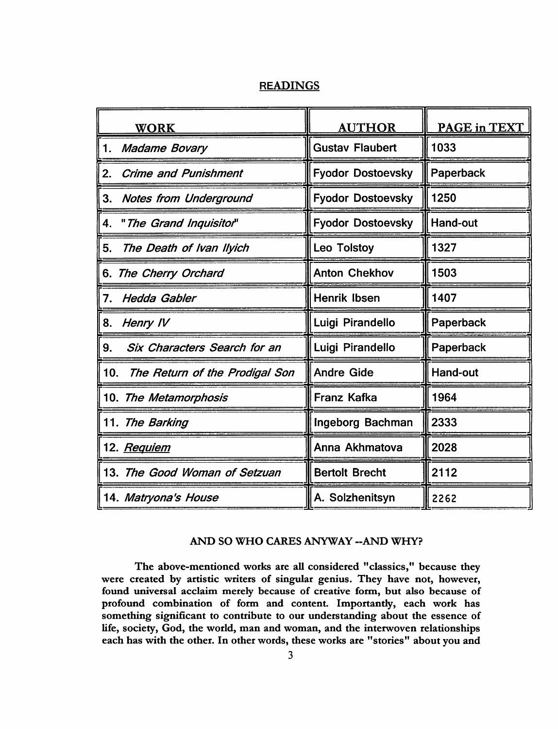# *READINGS*

| <b>WORK</b>                               | <b>AUTHOR</b>            | PAGE in TEXT    |
|-------------------------------------------|--------------------------|-----------------|
| <b>Madame Bovary</b><br>1.                | <b>Gustav Flaubert</b>   | 1033            |
| 2.<br><b>Crime and Punishment</b>         | <b>Fyodor Dostoevsky</b> | Paperback       |
| <b>Notes from Underground</b><br>3.       | <b>Fyodor Dostoevsky</b> | 1250            |
| "The Grand Inquisitor"<br>4.              | <b>Fyodor Dostoevsky</b> | <b>Hand-out</b> |
| The Death of Ivan Ilyich<br>5.            | Leo Tolstoy              | 1327            |
| 6. The Cherry Orchard                     | <b>Anton Chekhov</b>     | 1503            |
| <b>Hedda Gabler</b><br>7.                 | <b>Henrik Ibsen</b>      | 1407            |
| 8.<br>Henry IV                            | Luigi Pirandello         | Paperback       |
| <b>Six Characters Search for an</b><br>9. | Luigi Pirandello         | Paperback       |
| 10.<br>The Return of the Prodigal Son     | <b>Andre Gide</b>        | <b>Hand-out</b> |
| 10. The Metamorphosis                     | <b>Franz Kafka</b>       | 1964            |
| 11. The Barking                           | Ingeborg Bachman         | 2333            |
| 12. <i>Requiem</i>                        | Anna Akhmatova           | 2028            |
| 13. The Good Woman of Setzuan             | <b>Bertolt Brecht</b>    | 2112            |
| 14. Matryona's House                      | A. Solzhenitsyn          | 2262            |

# *AND SO WHO CARES ANYWAY -AND WHY?*

*The above-mentioned works are all considered "classics," because they were created by artistic writers of singular genius. They have not, however, found universal acclaim merely because of creative form, but also because of profound combination of form and content. Importantly, each work has something significant to contribute to our understanding about the essence of life, society, God, the world, man and woman, and the interwoven relationships each has with the other. In other words, these works are "stories" about you and*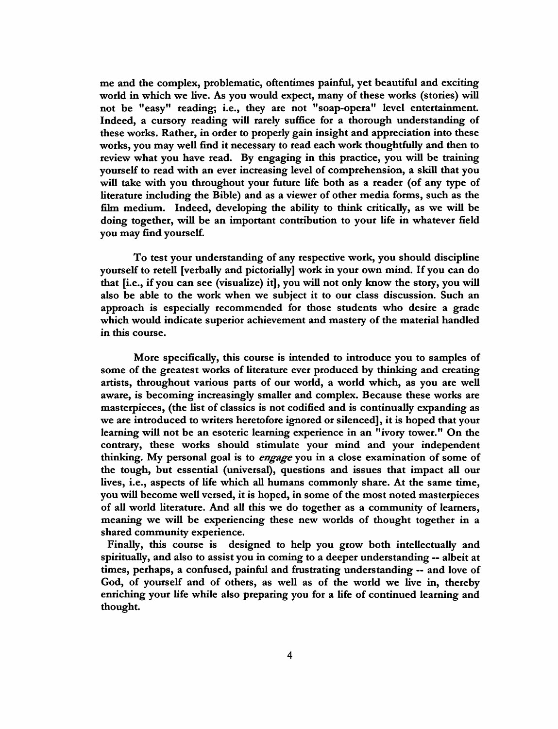*me and the complex, problematic, oftentimes painful, yet beautiful and exciting world in which we live. As you would expect, many of these works (stories) will not be "easy" reading; i.e., they are not "soap-opera" level entertainment. Indeed, a cursory reading will rarely suffice for a thorough understanding of these works. Rather, in order to properly gain insight and appreciation into these works, you may well find it necessary to read each work thoughtfully and then to review what you have read. By engaging in this practice, you will be training yourself to read with an ever increasing level of comprehension, a skill that you will take with you throughout your future life both as a reader (of any type of literature including the Bible) and as a viewer of other media forms, such as the film medium. Indeed, developing the ability to think critically, as we will be doing together, will be an important contribution to your life in whatever field you may find yourself.*

*To test your understanding of any respective work, you should discipline yourself to retell [verbally and pictorially] work in your own mind. If you can do that [i.e., if you can see (visualize) it], you will not only know the story, you will also be able to the work when we subject it to our class discussion. Such an approach is especially recommended for those students who desire a grade which would indicate superior achievement and mastery of the material handled in this course.*

*More specifically, this course is intended to introduce you to samples of some of the greatest works of literature ever produced by thinking and creating artists, throughout various parts of our world, a world which, as you are well aware, is becoming increasingly smaller and complex. Because these works are masterpieces, (the list of classics is not codified and is continually expanding as we are introduced to writers heretofore ignored or silenced], it is hoped that your learning will not be an esoteric learning experience in an "ivory tower." On the contrary, these works should stimulate your mind and your independent thinking. My personal goal is to engage you in a close examination of some of the tough, but essential (universal), questions and issues that impact all our lives, i.e., aspects of life which all humans commonly share. At the same time, you will become well versed, it is hoped, in some of the most noted masterpieces of all world literature. And all this we do together as a community of learners, meaning we will be experiencing these new worlds of thought together in a shared community experience.*

*Finally, this course is designed to help you grow both intellectually and spiritually, and also to assist you in coming to a deeper understanding —albeit at times, perhaps, a confused, painful and frustrating understanding — and love of God, of yourself and of others, as well as of the world we live in, thereby enriching your life while also preparing you for a life of continued learning and thought.*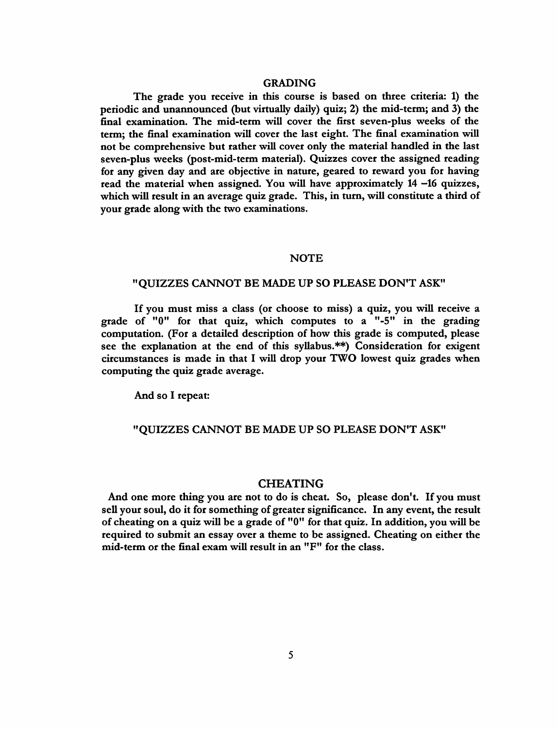#### *GRADING*

*The grade you receive in this course is based on three criteria: 1) the periodic and unannounced (but virtually daily) quiz; 2) the mid-term; and 3) the final examination. The mid-term will cover the first seven-plus weeks of the term; the final examination will cover the last eight. The final examination will not be comprehensive but rather will cover only the material handled in the last seven-plus weeks (post-mid-term material). Quizzes cover the assigned reading for any given day and are objective in nature, geared to reward you for having read the material when assigned. You will have approximately 14 —16 quizzes, which will result in an average quiz grade. This, in turn, will constitute a third of your grade along with the two examinations.*

#### *NOTE*

### *"QUIZZES CANNOT BE MADE UP SO PLEASE DON'T ASK"*

*If you must miss a class (or choose to miss) a quiz, you will receive a grade of "0" for that quiz, which computes to a "-5" in the grading computation. (For a detailed description of how this grade is computed, please see the explanation at the end of this syllabus.\*\*) Consideration for exigent circumstances is made in that I will drop your TWO lowest quiz grades when computing the quiz grade average.*

*And so I repeat:*

### *"QUIZZES CANNOT BE MADE UP SO PLEASE DON'T ASK"*

#### *CHEATING*

*And one more thing you are not to do is cheat. So, please don't. If you must sell your soul, do it for something of greater significance. In any event, the result of cheating on a quiz will be a grade of "0" for that quiz. In addition, you will be required to submit an essay over a theme to be assigned. Cheating on either the mid-term or the final exam will result in an "F" for the class.*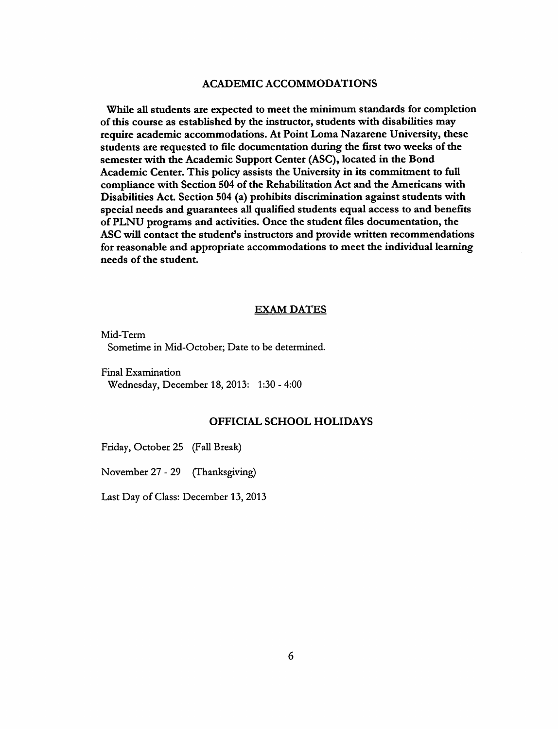### *ACADEMIC ACCOMMODATIONS*

*While all students are expected to meet the minimum standards for completion ofthis course as established by the instructor, students with disabilities may require academic accommodations. At Point Loma Nazarene University, these students are requested to file documentation during the first two weeks ofthe semester with the Academic Support Center (ASC), located in the Bond Academic Center. This policy assists the University in its commitment to full compliance with Section 504 of the Rehabilitation Act and the Americans with Disabilities Act. Section 504 (a) prohibits discrimination against students with special needs and guarantees all qualified students equal access to and benefits of PLNU programs and activities. Once the student files documentation, the ASC will contact the student's instructors and provide written recommendations for reasonable and appropriate accommodations to meet the individual learning*  $n$ *eeds* of the *student*.

### *EXAM DATES*

*Mid-Term Sometime in Mid-October; Date to be determined.*

*Final Examination Wednesday, December 18, 2013: 1:30 - 4:00*

### *OFFICIAL SCHOOL HOLIDAYS*

*Friday, October 25 (Fall Break)*

*November 27 - 29 (Thanksgiving)*

*Last Day ofClass: December 13, 2013*